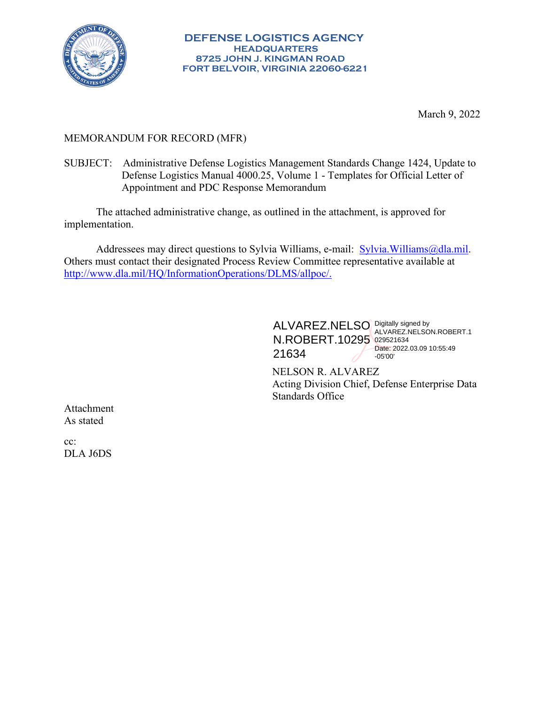

March 9, 2022

#### MEMORANDUM FOR RECORD (MFR)

SUBJECT: Administrative Defense Logistics Management Standards Change 1424, Update to Defense Logistics Manual 4000.25, Volume 1 - Templates for Official Letter of Appointment and PDC Response Memorandum

The attached administrative change, as outlined in the attachment, is approved for implementation.

Addressees may direct questions to Sylvia Williams, e-mail: Sylvia.Williams@dla.mil. Others must contact their designated Process Review Committee representative available at http://www.dla.mil/HQ/InformationOperations/DLMS/allpoc/.

> ALVAREZ.NELSO Digitally signed by N.ROBERT.10295 029521634 21634 ALVAREZ.NELSON.ROBERT.1 Date: 2022.03.09 10:55:49 -05'00'

NELSON R. ALVAREZ Acting Division Chief, Defense Enterprise Data Standards Office

Attachment As stated

cc: DLA J6DS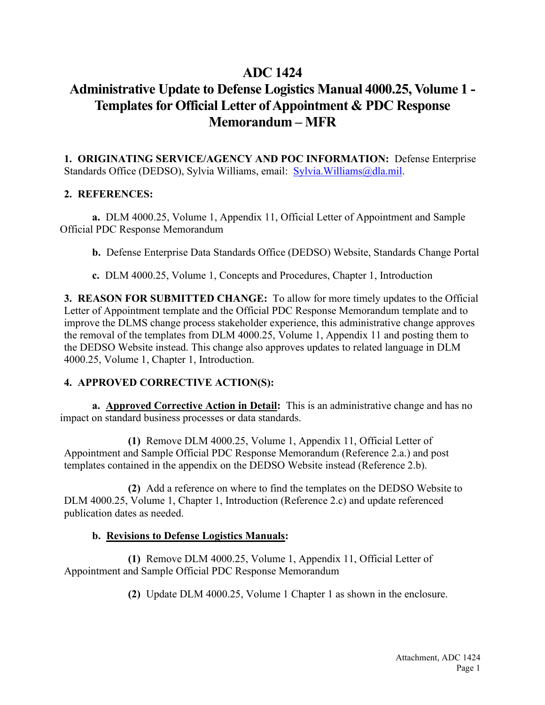## **ADC 1424**

# **Administrative Update to Defense Logistics Manual 4000.25, Volume 1 - Templates for Official Letter of Appointment & PDC Response Memorandum – MFR**

**1. ORIGINATING SERVICE/AGENCY AND POC INFORMATION:** Defense Enterprise Standards Office (DEDSO), Sylvia Williams, email: Sylvia.Williams@dla.mil.

## **2. REFERENCES:**

**a.** DLM 4000.25, Volume 1, Appendix 11, Official Letter of Appointment and Sample Official PDC Response Memorandum

**b.** Defense Enterprise Data Standards Office (DEDSO) Website, Standards Change Portal

**c.** DLM 4000.25, Volume 1, Concepts and Procedures, Chapter 1, Introduction

**3. REASON FOR SUBMITTED CHANGE:** To allow for more timely updates to the Official Letter of Appointment template and the Official PDC Response Memorandum template and to improve the DLMS change process stakeholder experience, this administrative change approves the removal of the templates from DLM 4000.25, Volume 1, Appendix 11 and posting them to the DEDSO Website instead. This change also approves updates to related language in DLM 4000.25, Volume 1, Chapter 1, Introduction.

## **4. APPROVED CORRECTIVE ACTION(S):**

**a. Approved Corrective Action in Detail:** This is an administrative change and has no impact on standard business processes or data standards.

**(1)** Remove DLM 4000.25, Volume 1, Appendix 11, Official Letter of Appointment and Sample Official PDC Response Memorandum (Reference 2.a.) and post templates contained in the appendix on the DEDSO Website instead (Reference 2.b).

**(2)** Add a reference on where to find the templates on the DEDSO Website to DLM 4000.25, Volume 1, Chapter 1, Introduction (Reference 2.c) and update referenced publication dates as needed.

## **b. Revisions to Defense Logistics Manuals:**

**(1)** Remove DLM 4000.25, Volume 1, Appendix 11, Official Letter of Appointment and Sample Official PDC Response Memorandum

**(2)** Update DLM 4000.25, Volume 1 Chapter 1 as shown in the enclosure.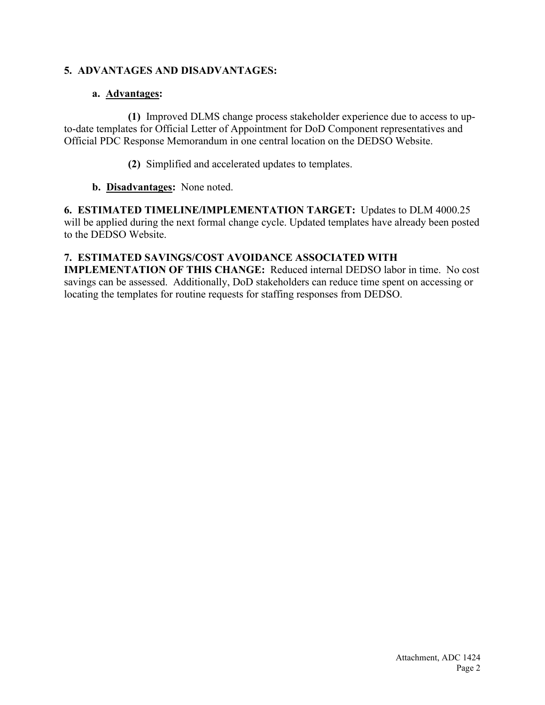## **5. ADVANTAGES AND DISADVANTAGES:**

#### **a. Advantages:**

**(1)** Improved DLMS change process stakeholder experience due to access to upto-date templates for Official Letter of Appointment for DoD Component representatives and Official PDC Response Memorandum in one central location on the DEDSO Website.

**(2)** Simplified and accelerated updates to templates.

#### **b. Disadvantages:** None noted.

**6. ESTIMATED TIMELINE/IMPLEMENTATION TARGET:** Updates to DLM 4000.25 will be applied during the next formal change cycle. Updated templates have already been posted to the DEDSO Website.

#### **7. ESTIMATED SAVINGS/COST AVOIDANCE ASSOCIATED WITH**

**IMPLEMENTATION OF THIS CHANGE:** Reduced internal DEDSO labor in time. No cost savings can be assessed. Additionally, DoD stakeholders can reduce time spent on accessing or locating the templates for routine requests for staffing responses from DEDSO.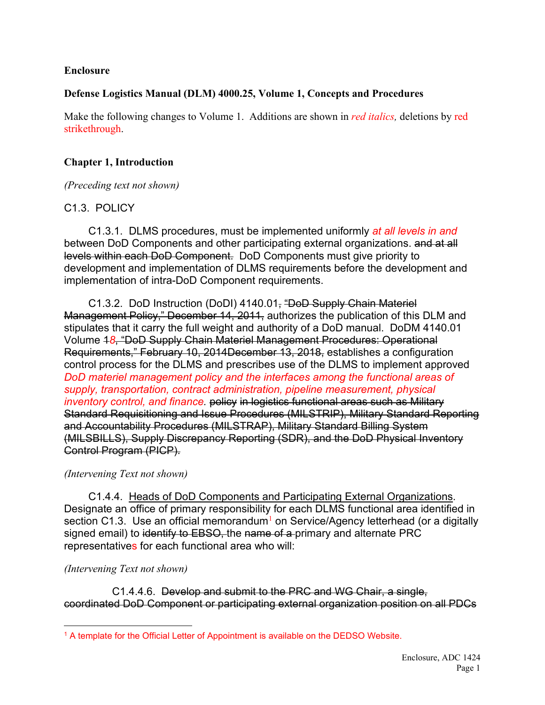#### **Enclosure**

#### **Defense Logistics Manual (DLM) 4000.25, Volume 1, Concepts and Procedures**

Make the following changes to Volume 1. Additions are shown in *red italics,* deletions by red strikethrough.

## **Chapter 1, Introduction**

*(Preceding text not shown)*

## C1.3. POLICY

C1.3.1. DLMS procedures, must be implemented uniformly *at all levels in and* between DoD Components and other participating external organizations. and at all levels within each DoD Component. DoD Components must give priority to development and implementation of DLMS requirements before the development and implementation of intra-DoD Component requirements.

C1.3.2. DoD Instruction (DoDI) 4140.01, "DoD Supply Chain Materiel Management Policy," December 14, 2011, authorizes the publication of this DLM and stipulates that it carry the full weight and authority of a DoD manual. DoDM 4140.01 Volume 1*8*, "DoD Supply Chain Materiel Management Procedures: Operational Requirements," February 10, 2014December 13, 2018, establishes a configuration control process for the DLMS and prescribes use of the DLMS to implement approved *DoD materiel management policy and the interfaces among the functional areas of supply, transportation, contract administration, pipeline measurement, physical inventory control, and finance.* policy in logistics functional areas such as Military Standard Requisitioning and Issue Procedures (MILSTRIP), Military Standard Reporting and Accountability Procedures (MILSTRAP), Military Standard Billing System (MILSBILLS), Supply Discrepancy Reporting (SDR), and the DoD Physical Inventory Control Program (PICP).

#### *(Intervening Text not shown)*

C1.4.4. Heads of DoD Components and Participating External Organizations. Designate an office of primary responsibility for each DLMS functional area identified in section C[1](#page-3-0).3. Use an official memorandum<sup>1</sup> on Service/Agency letterhead (or a digitally signed email) to identify to EBSO, the name of a primary and alternate PRC representatives for each functional area who will:

## *(Intervening Text not shown)*

C1.4.4.6. Develop and submit to the PRC and WG Chair, a single, coordinated DoD Component or participating external organization position on all PDCs

<span id="page-3-0"></span><sup>&</sup>lt;sup>1</sup> A template for the Official Letter of Appointment is available on the DEDSO Website.